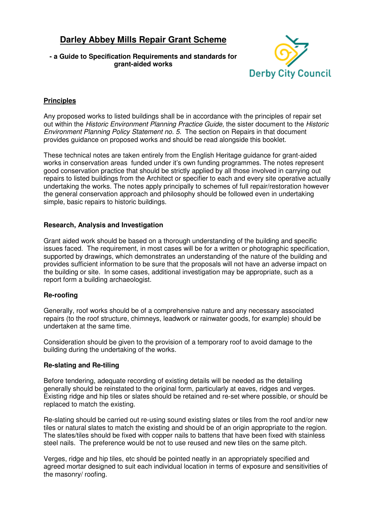# **Darley Abbey Mills Repair Grant Scheme**

## **- a Guide to Specification Requirements and standards for grant-aided works**



## **Principles**

Any proposed works to listed buildings shall be in accordance with the principles of repair set out within the Historic Environment Planning Practice Guide, the sister document to the Historic Environment Planning Policy Statement no. 5. The section on Repairs in that document provides guidance on proposed works and should be read alongside this booklet.

These technical notes are taken entirely from the English Heritage guidance for grant-aided works in conservation areas funded under it's own funding programmes. The notes represent good conservation practice that should be strictly applied by all those involved in carrying out repairs to listed buildings from the Architect or specifier to each and every site operative actually undertaking the works. The notes apply principally to schemes of full repair/restoration however the general conservation approach and philosophy should be followed even in undertaking simple, basic repairs to historic buildings.

#### **Research, Analysis and Investigation**

Grant aided work should be based on a thorough understanding of the building and specific issues faced. The requirement, in most cases will be for a written or photographic specification, supported by drawings, which demonstrates an understanding of the nature of the building and provides sufficient information to be sure that the proposals will not have an adverse impact on the building or site. In some cases, additional investigation may be appropriate, such as a report form a building archaeologist.

#### **Re-roofing**

Generally, roof works should be of a comprehensive nature and any necessary associated repairs (to the roof structure, chimneys, leadwork or rainwater goods, for example) should be undertaken at the same time.

Consideration should be given to the provision of a temporary roof to avoid damage to the building during the undertaking of the works.

#### **Re-slating and Re-tiling**

Before tendering, adequate recording of existing details will be needed as the detailing generally should be reinstated to the original form, particularly at eaves, ridges and verges. Existing ridge and hip tiles or slates should be retained and re-set where possible, or should be replaced to match the existing.

Re-slating should be carried out re-using sound existing slates or tiles from the roof and/or new tiles or natural slates to match the existing and should be of an origin appropriate to the region. The slates/tiles should be fixed with copper nails to battens that have been fixed with stainless steel nails. The preference would be not to use reused and new tiles on the same pitch.

Verges, ridge and hip tiles, etc should be pointed neatly in an appropriately specified and agreed mortar designed to suit each individual location in terms of exposure and sensitivities of the masonry/ roofing.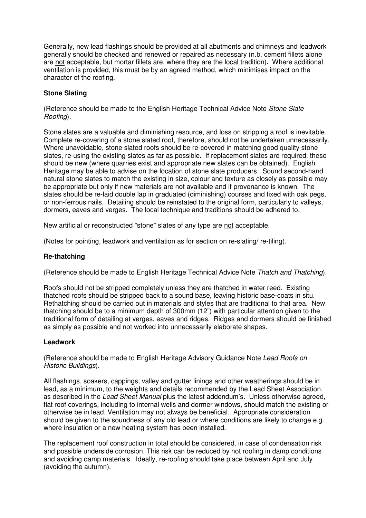Generally, new lead flashings should be provided at all abutments and chimneys and leadwork generally should be checked and renewed or repaired as necessary (n.b. cement fillets alone are not acceptable, but mortar fillets are, where they are the local tradition)**.** Where additional ventilation is provided, this must be by an agreed method, which minimises impact on the character of the roofing.

#### **Stone Slating**

(Reference should be made to the English Heritage Technical Advice Note Stone Slate Roofing).

Stone slates are a valuable and diminishing resource, and loss on stripping a roof is inevitable. Complete re-covering of a stone slated roof, therefore, should not be undertaken unnecessarily. Where unavoidable, stone slated roofs should be re-covered in matching good quality stone slates, re-using the existing slates as far as possible. If replacement slates are required, these should be new (where quarries exist and appropriate new slates can be obtained). English Heritage may be able to advise on the location of stone slate producers. Sound second-hand natural stone slates to match the existing in size, colour and texture as closely as possible may be appropriate but only if new materials are not available and if provenance is known. The slates should be re-laid double lap in graduated (diminishing) courses and fixed with oak pegs, or non-ferrous nails. Detailing should be reinstated to the original form, particularly to valleys, dormers, eaves and verges. The local technique and traditions should be adhered to.

New artificial or reconstructed "stone" slates of any type are not acceptable.

(Notes for pointing, leadwork and ventilation as for section on re-slating/ re-tiling).

#### **Re-thatching**

(Reference should be made to English Heritage Technical Advice Note Thatch and Thatching).

Roofs should not be stripped completely unless they are thatched in water reed. Existing thatched roofs should be stripped back to a sound base, leaving historic base-coats in situ. Rethatching should be carried out in materials and styles that are traditional to that area. New thatching should be to a minimum depth of 300mm (12") with particular attention given to the traditional form of detailing at verges, eaves and ridges. Ridges and dormers should be finished as simply as possible and not worked into unnecessarily elaborate shapes.

#### **Leadwork**

(Reference should be made to English Heritage Advisory Guidance Note Lead Roofs on Historic Buildings).

All flashings, soakers, cappings, valley and gutter linings and other weatherings should be in lead, as a minimum, to the weights and details recommended by the Lead Sheet Association, as described in the Lead Sheet Manual plus the latest addendum's. Unless otherwise agreed, flat roof coverings, including to internal wells and dormer windows, should match the existing or otherwise be in lead. Ventilation may not always be beneficial. Appropriate consideration should be given to the soundness of any old lead or where conditions are likely to change e.g. where insulation or a new heating system has been installed.

The replacement roof construction in total should be considered, in case of condensation risk and possible underside corrosion. This risk can be reduced by not roofing in damp conditions and avoiding damp materials. Ideally, re-roofing should take place between April and July (avoiding the autumn).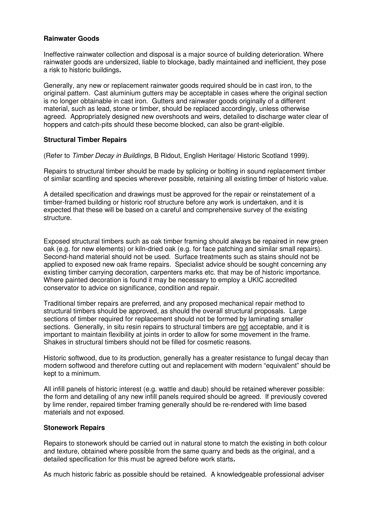#### **Rainwater Goods**

Ineffective rainwater collection and disposal is a major source of building deterioration. Where rainwater goods are undersized, liable to blockage, badly maintained and inefficient, they pose a risk to historic buildings**.**

Generally, any new or replacement rainwater goods required should be in cast iron, to the original pattern. Cast aluminium gutters may be acceptable in cases where the original section is no longer obtainable in cast iron. Gutters and rainwater goods originally of a different material, such as lead, stone or timber, should be replaced accordingly, unless otherwise agreed. Appropriately designed new overshoots and weirs, detailed to discharge water clear of hoppers and catch-pits should these become blocked, can also be grant-eligible.

#### **Structural Timber Repairs**

(Refer to Timber Decay in Buildings, B Ridout, English Heritage/ Historic Scotland 1999).

Repairs to structural timber should be made by splicing or bolting in sound replacement timber of similar scantling and species wherever possible, retaining all existing timber of historic value.

A detailed specification and drawings must be approved for the repair or reinstatement of a timber-framed building or historic roof structure before any work is undertaken, and it is expected that these will be based on a careful and comprehensive survey of the existing structure.

Exposed structural timbers such as oak timber framing should always be repaired in new green oak (e.g. for new elements) or kiln-dried oak (e.g. for face patching and similar small repairs). Second-hand material should not be used. Surface treatments such as stains should not be applied to exposed new oak frame repairs. Specialist advice should be sought concerning any existing timber carrying decoration, carpenters marks etc. that may be of historic importance. Where painted decoration is found it may be necessary to employ a UKIC accredited conservator to advice on significance, condition and repair.

Traditional timber repairs are preferred, and any proposed mechanical repair method to structural timbers should be approved, as should the overall structural proposals. Large sections of timber required for replacement should not be formed by laminating smaller sections. Generally, in situ resin repairs to structural timbers are not acceptable, and it is important to maintain flexibility at joints in order to allow for some movement in the frame. Shakes in structural timbers should not be filled for cosmetic reasons.

Historic softwood, due to its production, generally has a greater resistance to fungal decay than modern softwood and therefore cutting out and replacement with modern "equivalent" should be kept to a minimum.

All infill panels of historic interest (e.g. wattle and daub) should be retained wherever possible: the form and detailing of any new infill panels required should be agreed. If previously covered by lime render, repaired timber framing generally should be re-rendered with lime based materials and not exposed.

#### **Stonework Repairs**

Repairs to stonework should be carried out in natural stone to match the existing in both colour and texture, obtained where possible from the same quarry and beds as the original, and a detailed specification for this must be agreed before work starts**.**

As much historic fabric as possible should be retained. A knowledgeable professional adviser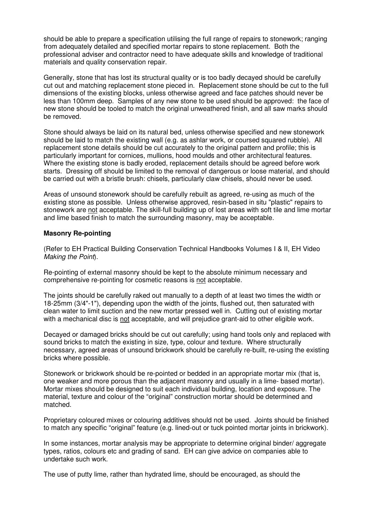should be able to prepare a specification utilising the full range of repairs to stonework; ranging from adequately detailed and specified mortar repairs to stone replacement. Both the professional adviser and contractor need to have adequate skills and knowledge of traditional materials and quality conservation repair.

Generally, stone that has lost its structural quality or is too badly decayed should be carefully cut out and matching replacement stone pieced in. Replacement stone should be cut to the full dimensions of the existing blocks, unless otherwise agreed and face patches should never be less than 100mm deep. Samples of any new stone to be used should be approved: the face of new stone should be tooled to match the original unweathered finish, and all saw marks should be removed.

Stone should always be laid on its natural bed, unless otherwise specified and new stonework should be laid to match the existing wall (e.g. as ashlar work, or coursed squared rubble). All replacement stone details should be cut accurately to the original pattern and profile; this is particularly important for cornices, mullions, hood moulds and other architectural features. Where the existing stone is badly eroded, replacement details should be agreed before work starts. Dressing off should be limited to the removal of dangerous or loose material, and should be carried out with a bristle brush: chisels, particularly claw chisels, should never be used.

Areas of unsound stonework should be carefully rebuilt as agreed, re-using as much of the existing stone as possible. Unless otherwise approved, resin-based in situ "plastic" repairs to stonework are not acceptable. The skill-full building up of lost areas with soft tile and lime mortar and lime based finish to match the surrounding masonry, may be acceptable.

#### **Masonry Re-pointing**

(Refer to EH Practical Building Conservation Technical Handbooks Volumes I & II, EH Video Making the Point).

Re-pointing of external masonry should be kept to the absolute minimum necessary and comprehensive re-pointing for cosmetic reasons is not acceptable.

The joints should be carefully raked out manually to a depth of at least two times the width or 18-25mm (3/4"-1"), depending upon the width of the joints, flushed out, then saturated with clean water to limit suction and the new mortar pressed well in. Cutting out of existing mortar with a mechanical disc is not acceptable, and will prejudice grant-aid to other eligible work.

Decayed or damaged bricks should be cut out carefully; using hand tools only and replaced with sound bricks to match the existing in size, type, colour and texture. Where structurally necessary, agreed areas of unsound brickwork should be carefully re-built, re-using the existing bricks where possible.

Stonework or brickwork should be re-pointed or bedded in an appropriate mortar mix (that is, one weaker and more porous than the adjacent masonry and usually in a lime- based mortar). Mortar mixes should be designed to suit each individual building, location and exposure. The material, texture and colour of the "original" construction mortar should be determined and matched.

Proprietary coloured mixes or colouring additives should not be used. Joints should be finished to match any specific "original" feature (e.g. lined-out or tuck pointed mortar joints in brickwork).

In some instances, mortar analysis may be appropriate to determine original binder/ aggregate types, ratios, colours etc and grading of sand. EH can give advice on companies able to undertake such work.

The use of putty lime, rather than hydrated lime, should be encouraged, as should the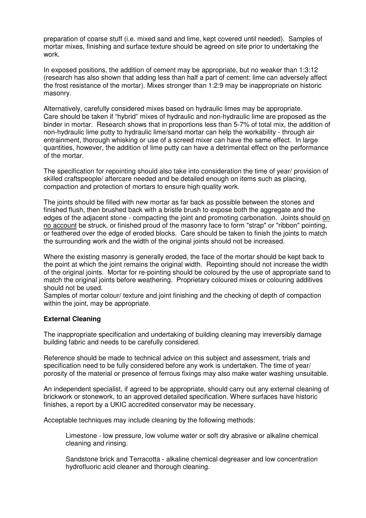preparation of coarse stuff (i.e. mixed sand and lime, kept covered until needed). Samples of mortar mixes, finishing and surface texture should be agreed on site prior to undertaking the work.

In exposed positions, the addition of cement may be appropriate, but no weaker than 1:3:12 (research has also shown that adding less than half a part of cement: lime can adversely affect the frost resistance of the mortar). Mixes stronger than 1:2:9 may be inappropriate on historic masonry.

Alternatively, carefully considered mixes based on hydraulic limes may be appropriate. Care should be taken if "hybrid" mixes of hydraulic and non-hydraulic lime are proposed as the binder in mortar. Research shows that in proportions less than 5-7% of total mix, the addition of non-hydraulic lime putty to hydraulic lime/sand mortar can help the workability - through air entrainment, thorough whisking or use of a screed mixer can have the same effect. In large quantities, however, the addition of lime putty can have a detrimental effect on the performance of the mortar.

The specification for repointing should also take into consideration the time of year/ provision of skilled craftspeople/ aftercare needed and be detailed enough on items such as placing, compaction and protection of mortars to ensure high quality work.

The joints should be filled with new mortar as far back as possible between the stones and finished flush, then brushed back with a bristle brush to expose both the aggregate and the edges of the adjacent stone - compacting the joint and promoting carbonation. Joints should on no account be struck, or finished proud of the masonry face to form "strap" or "ribbon" pointing, or feathered over the edge of eroded blocks. Care should be taken to finish the joints to match the surrounding work and the width of the original joints should not be increased.

Where the existing masonry is generally eroded, the face of the mortar should be kept back to the point at which the joint remains the original width. Repointing should not increase the width of the original joints. Mortar for re-pointing should be coloured by the use of appropriate sand to match the original joints before weathering. Proprietary coloured mixes or colouring additives should not be used.

Samples of mortar colour/ texture and joint finishing and the checking of depth of compaction within the joint, may be appropriate.

#### **External Cleaning**

The inappropriate specification and undertaking of building cleaning may irreversibly damage building fabric and needs to be carefully considered.

Reference should be made to technical advice on this subject and assessment, trials and specification need to be fully considered before any work is undertaken. The time of year/ porosity of the material or presence of ferrous fixings may also make water washing unsuitable.

An independent specialist, if agreed to be appropriate, should carry out any external cleaning of brickwork or stonework, to an approved detailed specification. Where surfaces have historic finishes, a report by a UKIC accredited conservator may be necessary.

Acceptable techniques may include cleaning by the following methods:

Limestone - low pressure, low volume water or soft dry abrasive or alkaline chemical cleaning and rinsing.

Sandstone brick and Terracotta - alkaline chemical degreaser and low concentration hydrofluoric acid cleaner and thorough cleaning.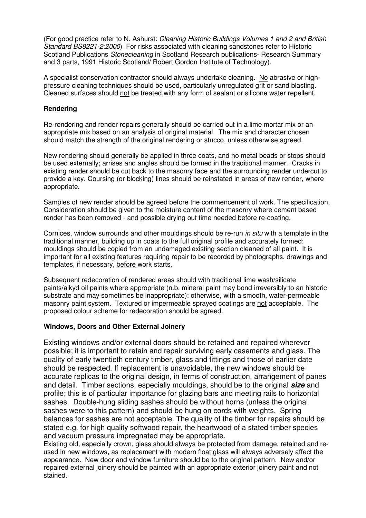(For good practice refer to N. Ashurst: Cleaning Historic Buildings Volumes 1 and 2 and British Standard BS8221-2:2000) For risks associated with cleaning sandstones refer to Historic Scotland Publications Stonecleaning in Scotland Research publications- Research Summary and 3 parts, 1991 Historic Scotland/ Robert Gordon Institute of Technology).

A specialist conservation contractor should always undertake cleaning. No abrasive or highpressure cleaning techniques should be used, particularly unregulated grit or sand blasting. Cleaned surfaces should not be treated with any form of sealant or silicone water repellent.

#### **Rendering**

Re-rendering and render repairs generally should be carried out in a lime mortar mix or an appropriate mix based on an analysis of original material. The mix and character chosen should match the strength of the original rendering or stucco, unless otherwise agreed.

New rendering should generally be applied in three coats, and no metal beads or stops should be used externally; arrises and angles should be formed in the traditional manner. Cracks in existing render should be cut back to the masonry face and the surrounding render undercut to provide a key. Coursing (or blocking) lines should be reinstated in areas of new render, where appropriate.

Samples of new render should be agreed before the commencement of work. The specification, Consideration should be given to the moisture content of the masonry where cement based render has been removed - and possible drying out time needed before re-coating.

Cornices, window surrounds and other mouldings should be re-run *in situ* with a template in the traditional manner, building up in coats to the full original profile and accurately formed: mouldings should be copied from an undamaged existing section cleaned of all paint. It is important for all existing features requiring repair to be recorded by photographs, drawings and templates, if necessary, before work starts.

Subsequent redecoration of rendered areas should with traditional lime wash/silicate paints/alkyd oil paints where appropriate (n.b. mineral paint may bond irreversibly to an historic substrate and may sometimes be inappropriate): otherwise, with a smooth, water-permeable masonry paint system. Textured or impermeable sprayed coatings are not acceptable. The proposed colour scheme for redecoration should be agreed.

#### **Windows, Doors and Other External Joinery**

Existing windows and/or external doors should be retained and repaired wherever possible; it is important to retain and repair surviving early casements and glass. The quality of early twentieth century timber, glass and fittings and those of earlier date should be respected. If replacement is unavoidable, the new windows should be accurate replicas to the original design, in terms of construction, arrangement of panes and detail. Timber sections, especially mouldings, should be to the original **size** and profile; this is of particular importance for glazing bars and meeting rails to horizontal sashes. Double-hung sliding sashes should be without horns (unless the original sashes were to this pattern) and should be hung on cords with weights. Spring balances for sashes are not acceptable. The quality of the timber for repairs should be stated e.g. for high quality softwood repair, the heartwood of a stated timber species and vacuum pressure impregnated may be appropriate.

Existing old, especially crown, glass should always be protected from damage, retained and reused in new windows, as replacement with modern float glass will always adversely affect the appearance. New door and window furniture should be to the original pattern. New and/or repaired external joinery should be painted with an appropriate exterior joinery paint and not stained.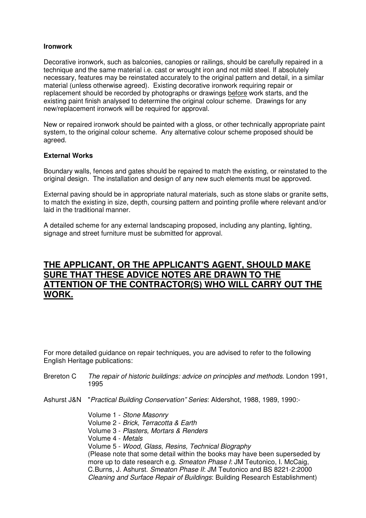#### **Ironwork**

Decorative ironwork, such as balconies, canopies or railings, should be carefully repaired in a technique and the same material i.e. cast or wrought iron and not mild steel. If absolutely necessary, features may be reinstated accurately to the original pattern and detail, in a similar material (unless otherwise agreed). Existing decorative ironwork requiring repair or replacement should be recorded by photographs or drawings before work starts, and the existing paint finish analysed to determine the original colour scheme. Drawings for any new/replacement ironwork will be required for approval.

New or repaired ironwork should be painted with a gloss, or other technically appropriate paint system, to the original colour scheme. Any alternative colour scheme proposed should be agreed.

#### **External Works**

Boundary walls, fences and gates should be repaired to match the existing, or reinstated to the original design. The installation and design of any new such elements must be approved.

External paving should be in appropriate natural materials, such as stone slabs or granite setts, to match the existing in size, depth, coursing pattern and pointing profile where relevant and/or laid in the traditional manner.

A detailed scheme for any external landscaping proposed, including any planting, lighting, signage and street furniture must be submitted for approval.

# **THE APPLICANT, OR THE APPLICANT'S AGENT, SHOULD MAKE SURE THAT THESE ADVICE NOTES ARE DRAWN TO THE ATTENTION OF THE CONTRACTOR(S) WHO WILL CARRY OUT THE WORK.**

For more detailed guidance on repair techniques, you are advised to refer to the following English Heritage publications:

- Brereton C The repair of historic buildings: advice on principles and methods. London 1991, 1995
- Ashurst J&N "Practical Building Conservation" Series: Aldershot, 1988, 1989, 1990:-

Volume 1 - Stone Masonry Volume 2 - Brick, Terracotta & Earth Volume 3 - Plasters, Mortars & Renders Volume 4 - Metals Volume 5 - Wood, Glass, Resins, Technical Biography (Please note that some detail within the books may have been superseded by more up to date research e.g. Smeaton Phase I: JM Teutonico, I. McCaig, C.Burns, J. Ashurst. Smeaton Phase II: JM Teutonico and BS 8221-2:2000 Cleaning and Surface Repair of Buildings: Building Research Establishment)